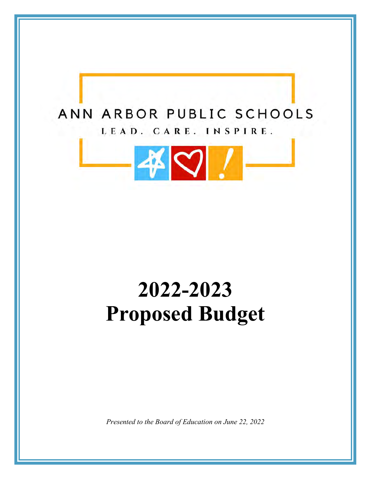

# **2022-2023 Proposed Budget**

*Presented to the Board of Education on June 22, 2022*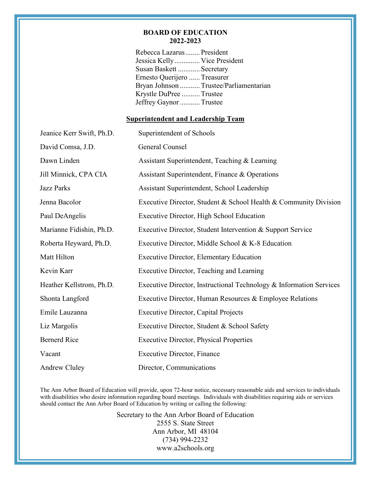#### **BOARD OF EDUCATION 2022-2023**

Rebecca Lazarus ........ President Jessica Kelly .............. Vice President Susan Baskett ............ Secretary Ernesto Querijero ...... Treasurer Bryan Johnson ........... Trustee/Parliamentarian Krystle DuPree .......... Trustee Jeffrey Gaynor ........... Trustee

#### **Superintendent and Leadership Team**

| Jeanice Kerr Swift, Ph.D. | Superintendent of Schools                                           |
|---------------------------|---------------------------------------------------------------------|
| David Comsa, J.D.         | General Counsel                                                     |
| Dawn Linden               | Assistant Superintendent, Teaching & Learning                       |
| Jill Minnick, CPA CIA     | Assistant Superintendent, Finance & Operations                      |
| <b>Jazz Parks</b>         | Assistant Superintendent, School Leadership                         |
| Jenna Bacolor             | Executive Director, Student & School Health & Community Division    |
| Paul DeAngelis            | Executive Director, High School Education                           |
| Marianne Fidishin, Ph.D.  | Executive Director, Student Intervention & Support Service          |
| Roberta Heyward, Ph.D.    | Executive Director, Middle School & K-8 Education                   |
| Matt Hilton               | <b>Executive Director, Elementary Education</b>                     |
| Kevin Karr                | Executive Director, Teaching and Learning                           |
| Heather Kellstrom, Ph.D.  | Executive Director, Instructional Technology & Information Services |
| Shonta Langford           | Executive Director, Human Resources & Employee Relations            |
| Emile Lauzanna            | <b>Executive Director, Capital Projects</b>                         |
| Liz Margolis              | Executive Director, Student & School Safety                         |
| <b>Bernerd Rice</b>       | <b>Executive Director, Physical Properties</b>                      |
| Vacant                    | <b>Executive Director, Finance</b>                                  |
| Andrew Cluley             | Director, Communications                                            |

The Ann Arbor Board of Education will provide, upon 72-hour notice, necessary reasonable aids and services to individuals with disabilities who desire information regarding board meetings. Individuals with disabilities requiring aids or services should contact the Ann Arbor Board of Education by writing or calling the following:

> Secretary to the Ann Arbor Board of Education 2555 S. State Street Ann Arbor, MI 48104 (734) 994-2232 www.a2schools.org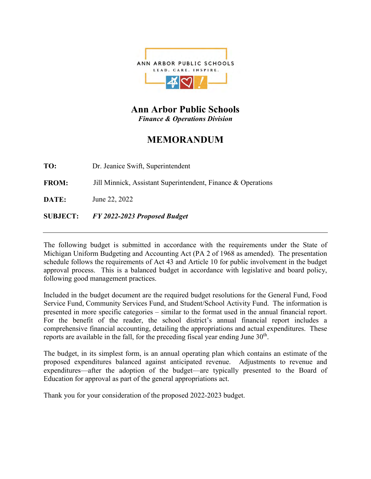

**Ann Arbor Public Schools**  *Finance & Operations Division*

### **MEMORANDUM**

**TO:** Dr. Jeanice Swift, Superintendent

**FROM:** Jill Minnick, Assistant Superintendent, Finance & Operations

**DATE:** June 22, 2022

**SUBJECT:** *FY 2022-2023 Proposed Budget*

The following budget is submitted in accordance with the requirements under the State of Michigan Uniform Budgeting and Accounting Act (PA 2 of 1968 as amended). The presentation schedule follows the requirements of Act 43 and Article 10 for public involvement in the budget approval process. This is a balanced budget in accordance with legislative and board policy, following good management practices.

Included in the budget document are the required budget resolutions for the General Fund, Food Service Fund, Community Services Fund, and Student/School Activity Fund. The information is presented in more specific categories – similar to the format used in the annual financial report. For the benefit of the reader, the school district's annual financial report includes a comprehensive financial accounting, detailing the appropriations and actual expenditures. These reports are available in the fall, for the preceding fiscal year ending June  $30<sup>th</sup>$ .

The budget, in its simplest form, is an annual operating plan which contains an estimate of the proposed expenditures balanced against anticipated revenue. Adjustments to revenue and expenditures—after the adoption of the budget—are typically presented to the Board of Education for approval as part of the general appropriations act.

Thank you for your consideration of the proposed 2022-2023 budget.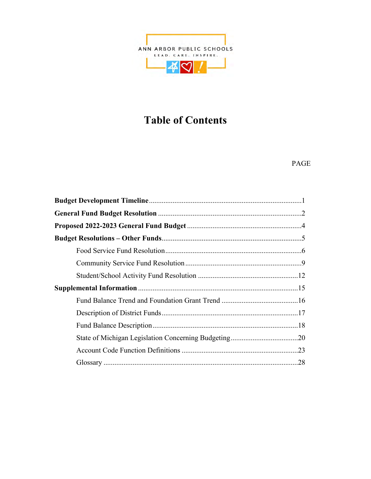

### **Table of Contents**

#### PAGE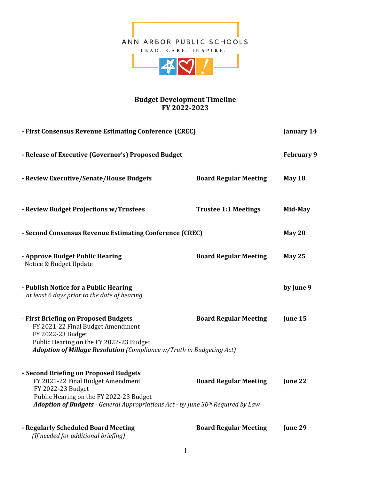

#### **Budget Development Timeline FY 2022-2023**

| - First Consensus Revenue Estimating Conference (CREC)                                                                                                                                                                        |                              |                   |
|-------------------------------------------------------------------------------------------------------------------------------------------------------------------------------------------------------------------------------|------------------------------|-------------------|
| - Release of Executive (Governor's) Proposed Budget                                                                                                                                                                           |                              | <b>February 9</b> |
| - Review Executive/Senate/House Budgets                                                                                                                                                                                       | <b>Board Regular Meeting</b> | May 18            |
| - Review Budget Projections w/Trustees                                                                                                                                                                                        | <b>Trustee 1:1 Meetings</b>  | Mid-May           |
| - Second Consensus Revenue Estimating Conference (CREC)                                                                                                                                                                       |                              | May 20            |
| - Approve Budget Public Hearing<br>Notice & Budget Update                                                                                                                                                                     | <b>Board Regular Meeting</b> | <b>May 25</b>     |
| - Publish Notice for a Public Hearing<br>at least 6 days prior to the date of hearing                                                                                                                                         |                              | by June 9         |
| - First Briefing on Proposed Budgets<br>FY 2021-22 Final Budget Amendment<br>FY 2022-23 Budget<br>Public Hearing on the FY 2022-23 Budget<br>Adoption of Millage Resolution (Compliance w/Truth in Budgeting Act)             | <b>Board Regular Meeting</b> | June 15           |
| - Second Briefing on Proposed Budgets<br>FY 2021-22 Final Budget Amendment<br>FY 2022-23 Budget<br>Public Hearing on the FY 2022-23 Budget<br>Adoption of Budgets - General Appropriations Act - by June 30th Required by Law | <b>Board Regular Meeting</b> | June 22           |
| - Regularly Scheduled Board Meeting<br>(If needed for additional briefing)                                                                                                                                                    | <b>Board Regular Meeting</b> | June 29           |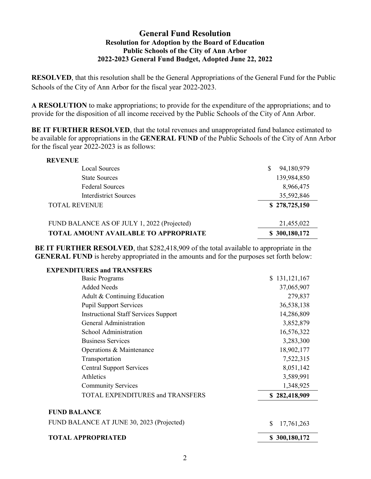#### **General Fund Resolution Resolution for Adoption by the Board of Education Public Schools of the City of Ann Arbor 2022-2023 General Fund Budget, Adopted June 22, 2022**

**RESOLVED**, that this resolution shall be the General Appropriations of the General Fund for the Public Schools of the City of Ann Arbor for the fiscal year 2022-2023.

**A RESOLUTION** to make appropriations; to provide for the expenditure of the appropriations; and to provide for the disposition of all income received by the Public Schools of the City of Ann Arbor.

**BE IT FURTHER RESOLVED**, that the total revenues and unappropriated fund balance estimated to be available for appropriations in the **GENERAL FUND** of the Public Schools of the City of Ann Arbor for the fiscal year 2022-2023 is as follows:

| <b>REVENUE</b>                               |                 |
|----------------------------------------------|-----------------|
| Local Sources                                | 94,180,979<br>S |
| <b>State Sources</b>                         | 139,984,850     |
| <b>Federal Sources</b>                       | 8,966,475       |
| Interdistrict Sources                        | 35,592,846      |
| <b>TOTAL REVENUE</b>                         | \$278,725,150   |
| FUND BALANCE AS OF JULY 1, 2022 (Projected)  | 21,455,022      |
| <b>TOTAL AMOUNT AVAILABLE TO APPROPRIATE</b> | \$300,180,172   |

**BE IT FURTHER RESOLVED**, that \$282,418,909 of the total available to appropriate in the **GENERAL FUND** is hereby appropriated in the amounts and for the purposes set forth below:

| <b>EXPENDITURES and TRANSFERS</b>           |                  |
|---------------------------------------------|------------------|
| <b>Basic Programs</b>                       | \$131,121,167    |
| <b>Added Needs</b>                          | 37,065,907       |
| Adult & Continuing Education                | 279,837          |
| <b>Pupil Support Services</b>               | 36,538,138       |
| <b>Instructional Staff Services Support</b> | 14,286,809       |
| <b>General Administration</b>               | 3,852,879        |
| School Administration                       | 16,576,322       |
| <b>Business Services</b>                    | 3,283,300        |
| Operations & Maintenance                    | 18,902,177       |
| Transportation                              | 7,522,315        |
| <b>Central Support Services</b>             | 8,051,142        |
| Athletics                                   | 3,589,991        |
| <b>Community Services</b>                   | 1,348,925        |
| TOTAL EXPENDITURES and TRANSFERS            | \$282,418,909    |
| <b>FUND BALANCE</b>                         |                  |
| FUND BALANCE AT JUNE 30, 2023 (Projected)   | \$<br>17,761,263 |
| <b>TOTAL APPROPRIATED</b>                   | \$300,180,172    |
|                                             |                  |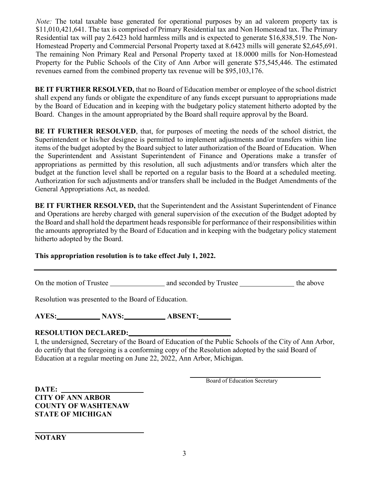*Note:* The total taxable base generated for operational purposes by an ad valorem property tax is \$11,010,421,641. The tax is comprised of Primary Residential tax and Non Homestead tax. The Primary Residential tax will pay 2.6423 hold harmless mills and is expected to generate \$16,838,519. The Non-Homestead Property and Commercial Personal Property taxed at 8.6423 mills will generate \$2,645,691. The remaining Non Primary Real and Personal Property taxed at 18.0000 mills for Non-Homestead Property for the Public Schools of the City of Ann Arbor will generate \$75,545,446. The estimated revenues earned from the combined property tax revenue will be \$95,103,176.

**BE IT FURTHER RESOLVED,** that no Board of Education member or employee of the school district shall expend any funds or obligate the expenditure of any funds except pursuant to appropriations made by the Board of Education and in keeping with the budgetary policy statement hitherto adopted by the Board. Changes in the amount appropriated by the Board shall require approval by the Board.

**BE IT FURTHER RESOLVED**, that, for purposes of meeting the needs of the school district, the Superintendent or his/her designee is permitted to implement adjustments and/or transfers within line items of the budget adopted by the Board subject to later authorization of the Board of Education. When the Superintendent and Assistant Superintendent of Finance and Operations make a transfer of appropriations as permitted by this resolution, all such adjustments and/or transfers which alter the budget at the function level shall be reported on a regular basis to the Board at a scheduled meeting. Authorization for such adjustments and/or transfers shall be included in the Budget Amendments of the General Appropriations Act, as needed.

**BE IT FURTHER RESOLVED,** that the Superintendent and the Assistant Superintendent of Finance and Operations are hereby charged with general supervision of the execution of the Budget adopted by the Board and shall hold the department heads responsible for performance of their responsibilities within the amounts appropriated by the Board of Education and in keeping with the budgetary policy statement hitherto adopted by the Board.

#### **This appropriation resolution is to take effect July 1, 2022.**

On the motion of Trustee and seconded by Trustee the above

Resolution was presented to the Board of Education.

AYES: NAYS: ABSENT:

#### **RESOLUTION DECLARED:**

I, the undersigned, Secretary of the Board of Education of the Public Schools of the City of Ann Arbor, do certify that the foregoing is a conforming copy of the Resolution adopted by the said Board of Education at a regular meeting on June 22, 2022, Ann Arbor, Michigan.

Board of Education Secretary

**DATE: CITY OF ANN ARBOR COUNTY OF WASHTENAW STATE OF MICHIGAN**

**NOTARY**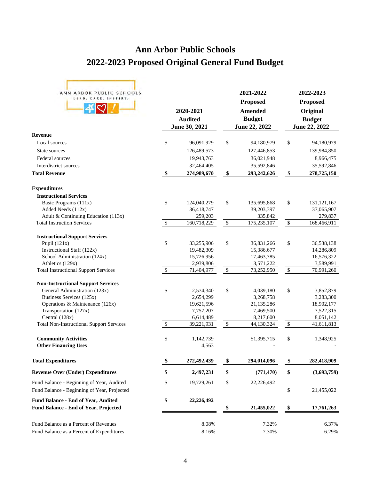### **Ann Arbor Public Schools 2022-2023 Proposed Original General Fund Budget**

| ANN ARBOR PUBLIC SCHOOLS<br>LEAD. CARE. INSPIRE.                                                                                                                   | 2020-2021<br><b>Audited</b><br>June 30, 2021            |                           | 2021-2022<br><b>Proposed</b><br><b>Amended</b><br><b>Budget</b><br>June 22, 2022 |                           | 2022-2023<br><b>Proposed</b><br>Original<br><b>Budget</b><br>June 22, 2022 |
|--------------------------------------------------------------------------------------------------------------------------------------------------------------------|---------------------------------------------------------|---------------------------|----------------------------------------------------------------------------------|---------------------------|----------------------------------------------------------------------------|
| <b>Revenue</b>                                                                                                                                                     |                                                         |                           |                                                                                  |                           |                                                                            |
| Local sources                                                                                                                                                      | \$<br>96,091,929                                        | \$                        | 94,180,979                                                                       | \$                        | 94,180,979                                                                 |
| State sources                                                                                                                                                      | 126,489,573                                             |                           | 127,446,853                                                                      |                           | 139,984,850                                                                |
| Federal sources                                                                                                                                                    | 19,943,763                                              |                           | 36,021,948                                                                       |                           | 8,966,475                                                                  |
| Interdistrict sources                                                                                                                                              | 32,464,405                                              |                           | 35,592,846                                                                       |                           | 35,592,846                                                                 |
| <b>Total Revenue</b>                                                                                                                                               | \$<br>274,989,670                                       | \$                        | 293,242,626                                                                      | \$                        | 278,725,150                                                                |
| <b>Expenditures</b>                                                                                                                                                |                                                         |                           |                                                                                  |                           |                                                                            |
| <b>Instructional Services</b>                                                                                                                                      |                                                         |                           |                                                                                  |                           |                                                                            |
| Basic Programs (111x)                                                                                                                                              | \$<br>124,040,279                                       | \$                        | 135,695,868                                                                      | \$                        | 131, 121, 167                                                              |
| Added Needs (112x)                                                                                                                                                 | 36,418,747                                              |                           | 39,203,397                                                                       |                           | 37,065,907                                                                 |
| Adult & Continuing Education (113x)                                                                                                                                | 259,203                                                 |                           | 335,842                                                                          |                           | 279,837                                                                    |
| <b>Total Instruction Services</b>                                                                                                                                  | \$<br>160,718,229                                       | \$                        | 175,235,107                                                                      | $\mathbb{S}$              | 168,466,911                                                                |
| <b>Instructional Support Services</b>                                                                                                                              |                                                         |                           |                                                                                  |                           |                                                                            |
| Pupil $(121x)$                                                                                                                                                     | \$<br>33,255,906                                        | \$                        | 36,831,266                                                                       | \$                        | 36,538,138                                                                 |
| Instructional Staff (122x)                                                                                                                                         | 19,482,309                                              |                           | 15,386,677                                                                       |                           | 14,286,809                                                                 |
| School Administration (124x)                                                                                                                                       | 15,726,956                                              |                           | 17,463,785                                                                       |                           | 16,576,322                                                                 |
| Athletics (129x)                                                                                                                                                   | 2,939,806                                               |                           | 3,571,222                                                                        |                           | 3,589,991                                                                  |
| <b>Total Instructional Support Services</b>                                                                                                                        | \$<br>71,404,977                                        | $\mathbb{S}$              | 73,252,950                                                                       | $\overline{\mathcal{S}}$  | 70,991,260                                                                 |
| <b>Non-Instructional Support Services</b><br>General Administration (123x)<br>Business Services (125x)<br>Operations & Maintenance (126x)<br>Transportation (127x) | \$<br>2,574,340<br>2,654,299<br>19,621,596<br>7,757,207 | \$                        | 4,039,180<br>3,268,758<br>21,135,286<br>7,469,500                                | \$                        | 3,852,879<br>3,283,300<br>18,902,177<br>7,522,315                          |
| Central (128x)                                                                                                                                                     | 6,614,489                                               |                           | 8,217,600                                                                        |                           | 8,051,142                                                                  |
| <b>Total Non-Instructional Support Services</b>                                                                                                                    | \$<br>39,221,931                                        | $\boldsymbol{\mathsf{S}}$ | 44,130,324                                                                       | $\boldsymbol{\mathsf{S}}$ | 41,611,813                                                                 |
| <b>Community Activities</b><br><b>Other Financing Uses</b>                                                                                                         | \$<br>1,142,739<br>4,563                                |                           | \$1,395,715                                                                      | \$                        | 1,348,925                                                                  |
| <b>Total Expenditures</b>                                                                                                                                          | \$<br>272,492,439                                       | \$                        | 294,014,096                                                                      | \$                        | 282,418,909                                                                |
| <b>Revenue Over (Under) Expenditures</b>                                                                                                                           | \$<br>2,497,231                                         | \$                        | (771, 470)                                                                       | \$                        | (3,693,759)                                                                |
| Fund Balance - Beginning of Year, Audited                                                                                                                          | \$<br>19,729,261                                        | \$                        | 22,226,492                                                                       |                           |                                                                            |
| Fund Balance - Beginning of Year, Projected                                                                                                                        |                                                         |                           |                                                                                  | \$                        | 21,455,022                                                                 |
| Fund Balance - End of Year, Audited<br><b>Fund Balance - End of Year, Projected</b>                                                                                | \$<br>22,226,492                                        | \$                        | 21,455,022                                                                       | \$                        | 17,761,263                                                                 |
| Fund Balance as a Percent of Revenues<br>Fund Balance as a Percent of Expenditures                                                                                 | 8.08%<br>8.16%                                          |                           | 7.32%<br>7.30%                                                                   |                           | 6.37%<br>6.29%                                                             |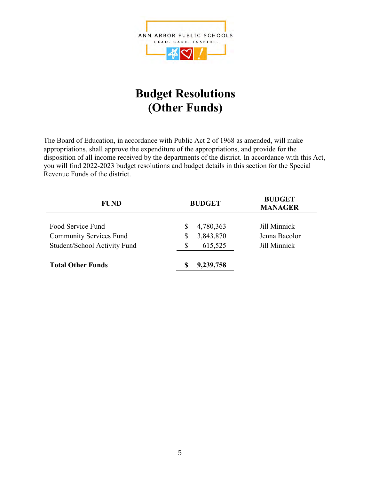

### **Budget Resolutions (Other Funds)**

The Board of Education, in accordance with Public Act 2 of 1968 as amended, will make appropriations, shall approve the expenditure of the appropriations, and provide for the disposition of all income received by the departments of the district. In accordance with this Act, you will find 2022-2023 budget resolutions and budget details in this section for the Special Revenue Funds of the district.

| <b>FUND</b>                                              | <b>BUDGET</b>                    | <b>BUDGET</b><br><b>MANAGER</b> |  |  |
|----------------------------------------------------------|----------------------------------|---------------------------------|--|--|
| Food Service Fund<br><b>Community Services Fund</b>      | 4,780,363<br>S<br>3,843,870<br>S | Jill Minnick<br>Jenna Bacolor   |  |  |
| Student/School Activity Fund<br><b>Total Other Funds</b> | 615,525<br>S<br>9,239,758<br>S   | Jill Minnick                    |  |  |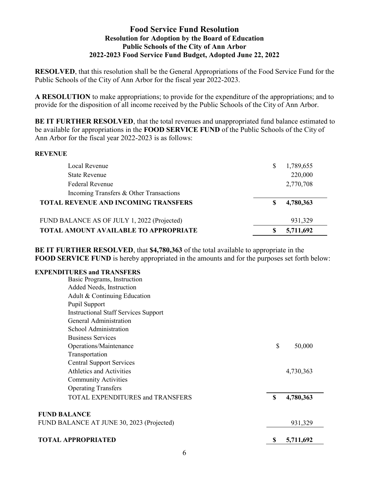#### **Food Service Fund Resolution Resolution for Adoption by the Board of Education Public Schools of the City of Ann Arbor 2022-2023 Food Service Fund Budget, Adopted June 22, 2022**

**RESOLVED**, that this resolution shall be the General Appropriations of the Food Service Fund for the Public Schools of the City of Ann Arbor for the fiscal year 2022-2023.

**A RESOLUTION** to make appropriations; to provide for the expenditure of the appropriations; and to provide for the disposition of all income received by the Public Schools of the City of Ann Arbor.

**BE IT FURTHER RESOLVED**, that the total revenues and unappropriated fund balance estimated to be available for appropriations in the **FOOD SERVICE FUND** of the Public Schools of the City of Ann Arbor for the fiscal year 2022-2023 is as follows:

#### **REVENUE**

| Local Revenue                                |   | 1,789,655 |
|----------------------------------------------|---|-----------|
| <b>State Revenue</b>                         |   | 220,000   |
| <b>Federal Revenue</b>                       |   | 2,770,708 |
| Incoming Transfers & Other Transactions      |   |           |
| <b>TOTAL REVENUE AND INCOMING TRANSFERS</b>  | S | 4,780,363 |
| FUND BALANCE AS OF JULY 1, 2022 (Projected)  |   | 931,329   |
| <b>TOTAL AMOUNT AVAILABLE TO APPROPRIATE</b> |   | 5,711,692 |

**BE IT FURTHER RESOLVED**, that **\$4,780,363** of the total available to appropriate in the **FOOD SERVICE FUND** is hereby appropriated in the amounts and for the purposes set forth below:

#### **EXPENDITURES and TRANSFERS**

| Basic Programs, Instruction                 |    |           |
|---------------------------------------------|----|-----------|
| Added Needs, Instruction                    |    |           |
| Adult & Continuing Education                |    |           |
| Pupil Support                               |    |           |
| <b>Instructional Staff Services Support</b> |    |           |
| General Administration                      |    |           |
| School Administration                       |    |           |
| <b>Business Services</b>                    |    |           |
| Operations/Maintenance                      | \$ | 50,000    |
| Transportation                              |    |           |
| <b>Central Support Services</b>             |    |           |
| <b>Athletics and Activities</b>             |    | 4,730,363 |
| <b>Community Activities</b>                 |    |           |
| <b>Operating Transfers</b>                  |    |           |
| <b>TOTAL EXPENDITURES and TRANSFERS</b>     | S  | 4,780,363 |
| <b>FUND BALANCE</b>                         |    |           |
| FUND BALANCE AT JUNE 30, 2023 (Projected)   |    | 931,329   |
| <b>TOTAL APPROPRIATED</b>                   | S  | 5,711,692 |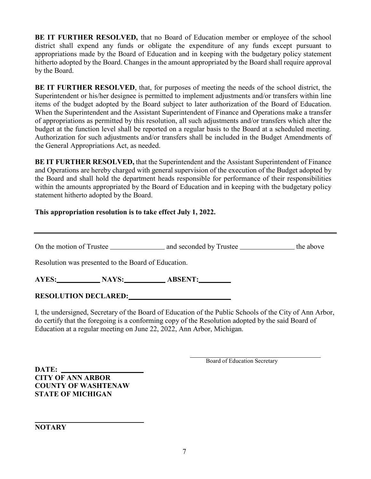**BE IT FURTHER RESOLVED,** that no Board of Education member or employee of the school district shall expend any funds or obligate the expenditure of any funds except pursuant to appropriations made by the Board of Education and in keeping with the budgetary policy statement hitherto adopted by the Board. Changes in the amount appropriated by the Board shall require approval by the Board.

**BE IT FURTHER RESOLVED**, that, for purposes of meeting the needs of the school district, the Superintendent or his/her designee is permitted to implement adjustments and/or transfers within line items of the budget adopted by the Board subject to later authorization of the Board of Education. When the Superintendent and the Assistant Superintendent of Finance and Operations make a transfer of appropriations as permitted by this resolution, all such adjustments and/or transfers which alter the budget at the function level shall be reported on a regular basis to the Board at a scheduled meeting. Authorization for such adjustments and/or transfers shall be included in the Budget Amendments of the General Appropriations Act, as needed.

**BE IT FURTHER RESOLVED,** that the Superintendent and the Assistant Superintendent of Finance and Operations are hereby charged with general supervision of the execution of the Budget adopted by the Board and shall hold the department heads responsible for performance of their responsibilities within the amounts appropriated by the Board of Education and in keeping with the budgetary policy statement hitherto adopted by the Board.

#### **This appropriation resolution is to take effect July 1, 2022.**

On the motion of Trustee and seconded by Trustee the above

Resolution was presented to the Board of Education.

**AYES: NAYS: ABSENT: ABSENT:** 

#### **RESOLUTION DECLARED:**

I, the undersigned, Secretary of the Board of Education of the Public Schools of the City of Ann Arbor, do certify that the foregoing is a conforming copy of the Resolution adopted by the said Board of Education at a regular meeting on June 22, 2022, Ann Arbor, Michigan.

Board of Education Secretary

**DATE: CITY OF ANN ARBOR COUNTY OF WASHTENAW STATE OF MICHIGAN**

**NOTARY**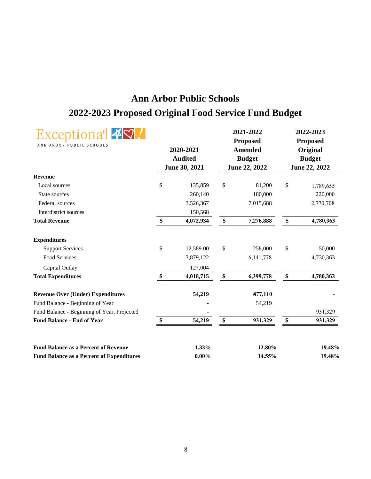### **Ann Arbor Public Schools 2022-2023 Proposed Original Food Service Fund Budget**

| $\blacksquare$<br>Exceptiona <sup>+</sup><br>ANN ARBOR PUBLIC SCHOOLS | 2020-2021<br><b>Audited</b><br>June 30, 2021 |                   | 2021-2022<br><b>Proposed</b><br><b>Amended</b><br><b>Budget</b><br>June 22, 2022 |                   | 2022-2023<br><b>Proposed</b><br>Original<br><b>Budget</b><br>June 22, 2022 |
|-----------------------------------------------------------------------|----------------------------------------------|-------------------|----------------------------------------------------------------------------------|-------------------|----------------------------------------------------------------------------|
| <b>Revenue</b>                                                        |                                              |                   |                                                                                  |                   |                                                                            |
| Local sources                                                         | \$<br>135,859                                | $\$$              | 81,200                                                                           | \$                | 1,789,655                                                                  |
| State sources                                                         | 260,140                                      |                   | 180,000                                                                          |                   | 220,000                                                                    |
| Federal sources                                                       | 3,526,367                                    |                   | 7,015,688                                                                        |                   | 2,770,708                                                                  |
| Interdistrict sources                                                 | 150,568                                      |                   |                                                                                  |                   |                                                                            |
| <b>Total Revenue</b>                                                  | \$<br>4,072,934                              | \$                | 7,276,888                                                                        | \$                | 4,780,363                                                                  |
| <b>Expenditures</b>                                                   |                                              |                   |                                                                                  |                   |                                                                            |
| <b>Support Services</b>                                               | \$<br>12,589.00                              | \$                | 258,000                                                                          | \$                | 50,000                                                                     |
| Food Services                                                         | 3,879,122                                    |                   | 6, 141, 778                                                                      |                   | 4,730,363                                                                  |
| Capital Outlay                                                        | 127,004                                      |                   |                                                                                  |                   |                                                                            |
| <b>Total Expenditures</b>                                             | \$<br>4,018,715                              | $\boldsymbol{\$}$ | 6,399,778                                                                        | $\boldsymbol{\$}$ | 4,780,363                                                                  |
| <b>Revenue Over (Under) Expenditures</b>                              | 54,219                                       |                   | 877,110                                                                          |                   |                                                                            |
| Fund Balance - Beginning of Year                                      |                                              |                   | 54,219                                                                           |                   |                                                                            |
| Fund Balance - Beginning of Year, Projected                           |                                              |                   |                                                                                  |                   | 931,329                                                                    |
| <b>Fund Balance - End of Year</b>                                     | \$<br>54,219                                 | \$                | 931,329                                                                          | \$                | 931,329                                                                    |
| <b>Fund Balance as a Percent of Revenue</b>                           | 1.33%                                        |                   | 12.80%                                                                           |                   | 19.48%                                                                     |
| <b>Fund Balance as a Percent of Expenditures</b>                      | $0.00\%$                                     |                   | 14.55%                                                                           |                   | 19.48%                                                                     |
|                                                                       |                                              |                   |                                                                                  |                   |                                                                            |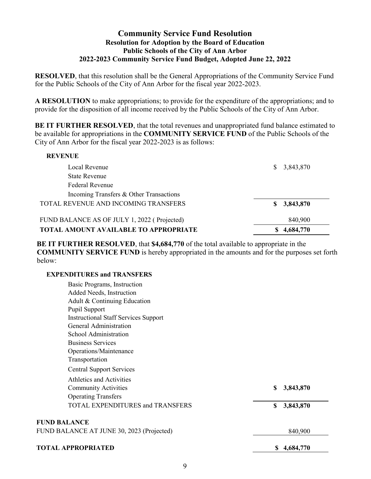#### **Community Service Fund Resolution Resolution for Adoption by the Board of Education Public Schools of the City of Ann Arbor 2022-2023 Community Service Fund Budget, Adopted June 22, 2022**

**RESOLVED**, that this resolution shall be the General Appropriations of the Community Service Fund for the Public Schools of the City of Ann Arbor for the fiscal year 2022-2023.

**A RESOLUTION** to make appropriations; to provide for the expenditure of the appropriations; and to provide for the disposition of all income received by the Public Schools of the City of Ann Arbor.

**BE IT FURTHER RESOLVED, that the total revenues and unappropriated fund balance estimated to** be available for appropriations in the **COMMUNITY SERVICE FUND** of the Public Schools of the City of Ann Arbor for the fiscal year 2022-2023 is as follows:

| Local Revenue                                | 3,843,870   |
|----------------------------------------------|-------------|
| <b>State Revenue</b>                         |             |
| Federal Revenue                              |             |
| Incoming Transfers & Other Transactions      |             |
| TOTAL REVENUE AND INCOMING TRANSFERS         | \$3,843,870 |
| FUND BALANCE AS OF JULY 1, 2022 (Projected)  | 840,900     |
| <b>TOTAL AMOUNT AVAILABLE TO APPROPRIATE</b> | 4,684,770   |

**BE IT FURTHER RESOLVED**, that **\$4,684,770** of the total available to appropriate in the **COMMUNITY SERVICE FUND** is hereby appropriated in the amounts and for the purposes set forth below:

#### **EXPENDITURES and TRANSFERS**

| Basic Programs, Instruction                 |                 |
|---------------------------------------------|-----------------|
| Added Needs, Instruction                    |                 |
| Adult & Continuing Education                |                 |
| Pupil Support                               |                 |
| <b>Instructional Staff Services Support</b> |                 |
| General Administration                      |                 |
| School Administration                       |                 |
| <b>Business Services</b>                    |                 |
| Operations/Maintenance                      |                 |
| Transportation                              |                 |
| <b>Central Support Services</b>             |                 |
| Athletics and Activities                    |                 |
| <b>Community Activities</b>                 | \$<br>3,843,870 |
| <b>Operating Transfers</b>                  |                 |
| <b>TOTAL EXPENDITURES and TRANSFERS</b>     | \$<br>3,843,870 |
| <b>FUND BALANCE</b>                         |                 |
| FUND BALANCE AT JUNE 30, 2023 (Projected)   | 840,900         |
|                                             |                 |

#### **TOTAL APPROPRIATED \$ 4,684,770**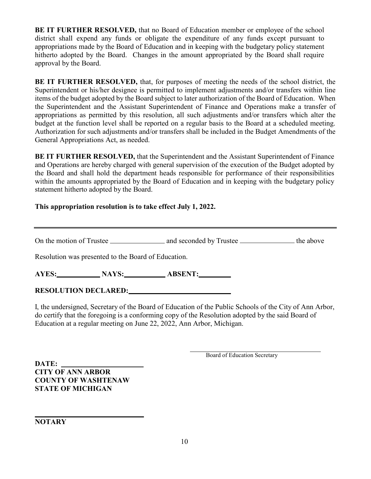**BE IT FURTHER RESOLVED,** that no Board of Education member or employee of the school district shall expend any funds or obligate the expenditure of any funds except pursuant to appropriations made by the Board of Education and in keeping with the budgetary policy statement hitherto adopted by the Board. Changes in the amount appropriated by the Board shall require approval by the Board.

**BE IT FURTHER RESOLVED,** that, for purposes of meeting the needs of the school district, the Superintendent or his/her designee is permitted to implement adjustments and/or transfers within line items of the budget adopted by the Board subject to later authorization of the Board of Education. When the Superintendent and the Assistant Superintendent of Finance and Operations make a transfer of appropriations as permitted by this resolution, all such adjustments and/or transfers which alter the budget at the function level shall be reported on a regular basis to the Board at a scheduled meeting. Authorization for such adjustments and/or transfers shall be included in the Budget Amendments of the General Appropriations Act, as needed.

**BE IT FURTHER RESOLVED,** that the Superintendent and the Assistant Superintendent of Finance and Operations are hereby charged with general supervision of the execution of the Budget adopted by the Board and shall hold the department heads responsible for performance of their responsibilities within the amounts appropriated by the Board of Education and in keeping with the budgetary policy statement hitherto adopted by the Board.

#### **This appropriation resolution is to take effect July 1, 2022.**

On the motion of Trustee and seconded by Trustee the above

Resolution was presented to the Board of Education.

AYES: **NAYS: ABSENT: ABSENT:** 

#### **RESOLUTION DECLARED:**

I, the undersigned, Secretary of the Board of Education of the Public Schools of the City of Ann Arbor, do certify that the foregoing is a conforming copy of the Resolution adopted by the said Board of Education at a regular meeting on June 22, 2022, Ann Arbor, Michigan.

Board of Education Secretary

**DATE: CITY OF ANN ARBOR COUNTY OF WASHTENAW STATE OF MICHIGAN**

**NOTARY**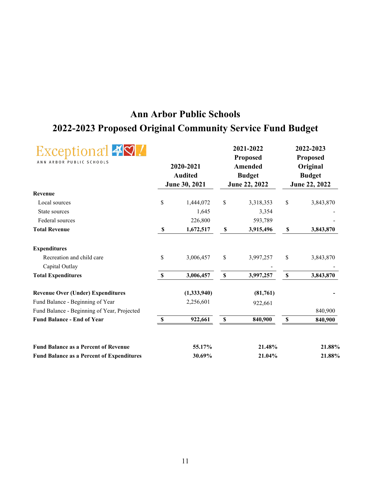### **Ann Arbor Public Schools 2022-2023 Proposed Original Community Service Fund Budget**

| xceptional 49<br>ANN ARBOR PUBLIC SCHOOLS<br>2020-2021<br><b>Audited</b> |             | 2021-2022<br><b>Proposed</b><br><b>Amended</b><br><b>Budget</b>    |           | 2022-2023<br><b>Proposed</b><br>Original<br><b>Budget</b><br>June 22, 2022    |           |
|--------------------------------------------------------------------------|-------------|--------------------------------------------------------------------|-----------|-------------------------------------------------------------------------------|-----------|
|                                                                          |             |                                                                    |           |                                                                               |           |
|                                                                          |             |                                                                    |           |                                                                               | 3,843,870 |
|                                                                          |             |                                                                    |           |                                                                               |           |
|                                                                          |             |                                                                    |           |                                                                               |           |
| \$                                                                       | 1,672,517   | $\mathbb S$                                                        | 3,915,496 | $\pmb{\mathbb{S}}$                                                            | 3,843,870 |
|                                                                          |             |                                                                    |           |                                                                               |           |
| \$                                                                       | 3,006,457   | \$                                                                 | 3,997,257 | \$                                                                            | 3,843,870 |
| $\pmb{\mathbb{S}}$                                                       | 3,006,457   | $\pmb{\mathbb{S}}$                                                 | 3,997,257 | $\pmb{\mathbb{S}}$                                                            | 3,843,870 |
|                                                                          | (1,333,940) |                                                                    | (81,761)  |                                                                               |           |
|                                                                          | 2,256,601   |                                                                    |           |                                                                               |           |
|                                                                          |             |                                                                    |           |                                                                               | 840,900   |
| $\boldsymbol{\mathsf{S}}$                                                | 922,661     | $\boldsymbol{\$}$                                                  | 840,900   | $\boldsymbol{\mathsf{S}}$                                                     | 840,900   |
|                                                                          |             |                                                                    |           |                                                                               | 21.88%    |
|                                                                          |             |                                                                    |           |                                                                               | 21.88%    |
|                                                                          | \$          | June 30, 2021<br>1,444,072<br>1,645<br>226,800<br>55.17%<br>30.69% | \$        | June 22, 2022<br>3,318,353<br>3,354<br>593,789<br>922,661<br>21.48%<br>21.04% | \$        |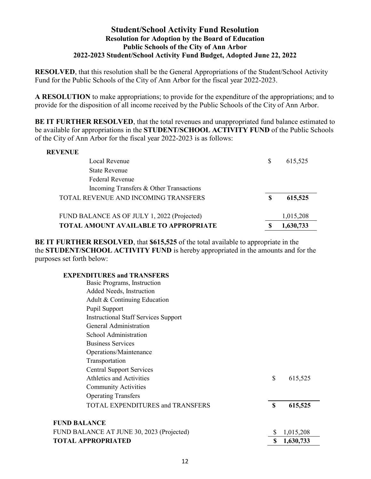#### **Student/School Activity Fund Resolution Resolution for Adoption by the Board of Education Public Schools of the City of Ann Arbor 2022-2023 Student/School Activity Fund Budget, Adopted June 22, 2022**

**RESOLVED**, that this resolution shall be the General Appropriations of the Student/School Activity Fund for the Public Schools of the City of Ann Arbor for the fiscal year 2022-2023.

**A RESOLUTION** to make appropriations; to provide for the expenditure of the appropriations; and to provide for the disposition of all income received by the Public Schools of the City of Ann Arbor.

**BE IT FURTHER RESOLVED**, that the total revenues and unappropriated fund balance estimated to be available for appropriations in the **STUDENT/SCHOOL ACTIVITY FUND** of the Public Schools of the City of Ann Arbor for the fiscal year 2022-2023 is as follows:

#### **REVENUE**

| Local Revenue                                | S   | 615,525   |
|----------------------------------------------|-----|-----------|
| <b>State Revenue</b>                         |     |           |
| <b>Federal Revenue</b>                       |     |           |
| Incoming Transfers & Other Transactions      |     |           |
| TOTAL REVENUE AND INCOMING TRANSFERS         | \$. | 615,525   |
|                                              |     |           |
| FUND BALANCE AS OF JULY 1, 2022 (Projected)  |     | 1,015,208 |
| <b>TOTAL AMOUNT AVAILABLE TO APPROPRIATE</b> | S   | 1,630,733 |

**BE IT FURTHER RESOLVED**, that **\$615,525** of the total available to appropriate in the the **STUDENT/SCHOOL ACTIVITY FUND** is hereby appropriated in the amounts and for the purposes set forth below:

#### **EXPENDITURES and TRANSFERS**

| <b>TOTAL APPROPRIATED</b>                   | \$<br>1,630,733 |
|---------------------------------------------|-----------------|
| FUND BALANCE AT JUNE 30, 2023 (Projected)   | 1,015,208       |
| <b>FUND BALANCE</b>                         |                 |
| <b>TOTAL EXPENDITURES and TRANSFERS</b>     | \$<br>615,525   |
| <b>Operating Transfers</b>                  |                 |
| <b>Community Activities</b>                 |                 |
| Athletics and Activities                    | \$<br>615,525   |
| <b>Central Support Services</b>             |                 |
| Transportation                              |                 |
| Operations/Maintenance                      |                 |
| <b>Business Services</b>                    |                 |
| School Administration                       |                 |
| General Administration                      |                 |
| <b>Instructional Staff Services Support</b> |                 |
| Pupil Support                               |                 |
| Adult & Continuing Education                |                 |
| Added Needs, Instruction                    |                 |
| Basic Programs, Instruction                 |                 |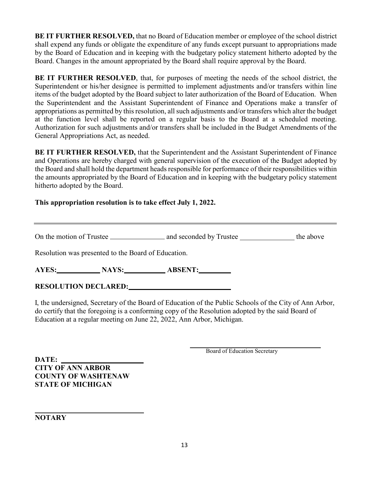**BE IT FURTHER RESOLVED,** that no Board of Education member or employee of the school district shall expend any funds or obligate the expenditure of any funds except pursuant to appropriations made by the Board of Education and in keeping with the budgetary policy statement hitherto adopted by the Board. Changes in the amount appropriated by the Board shall require approval by the Board.

**BE IT FURTHER RESOLVED**, that, for purposes of meeting the needs of the school district, the Superintendent or his/her designee is permitted to implement adjustments and/or transfers within line items of the budget adopted by the Board subject to later authorization of the Board of Education. When the Superintendent and the Assistant Superintendent of Finance and Operations make a transfer of appropriations as permitted by this resolution, all such adjustments and/or transfers which alter the budget at the function level shall be reported on a regular basis to the Board at a scheduled meeting. Authorization for such adjustments and/or transfers shall be included in the Budget Amendments of the General Appropriations Act, as needed.

**BE IT FURTHER RESOLVED,** that the Superintendent and the Assistant Superintendent of Finance and Operations are hereby charged with general supervision of the execution of the Budget adopted by the Board and shall hold the department heads responsible for performance of their responsibilities within the amounts appropriated by the Board of Education and in keeping with the budgetary policy statement hitherto adopted by the Board.

#### **This appropriation resolution is to take effect July 1, 2022.**

On the motion of Trustee and seconded by Trustee the above

Resolution was presented to the Board of Education.

AYES: NAYS: ABSENT:

#### **RESOLUTION DECLARED:**

I, the undersigned, Secretary of the Board of Education of the Public Schools of the City of Ann Arbor, do certify that the foregoing is a conforming copy of the Resolution adopted by the said Board of Education at a regular meeting on June 22, 2022, Ann Arbor, Michigan.

Board of Education Secretary

**DATE: CITY OF ANN ARBOR COUNTY OF WASHTENAW STATE OF MICHIGAN**

**NOTARY**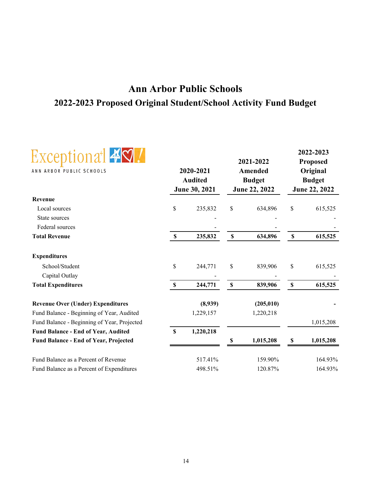### **Ann Arbor Public Schools 2022-2023 Proposed Original Student/School Activity Fund Budget**



|                                              |              |                             |                           | 2021-2022                |              | 2022-2023<br><b>Proposed</b> |  |
|----------------------------------------------|--------------|-----------------------------|---------------------------|--------------------------|--------------|------------------------------|--|
| ANN ARBOR PUBLIC SCHOOLS                     |              | 2020-2021<br><b>Audited</b> |                           | Amended<br><b>Budget</b> |              | Original<br><b>Budget</b>    |  |
|                                              |              | June 30, 2021               |                           | June 22, 2022            |              | June 22, 2022                |  |
| Revenue                                      |              |                             |                           |                          |              |                              |  |
| Local sources                                | \$           | 235,832                     | \$                        | 634,896                  | \$           | 615,525                      |  |
| State sources                                |              |                             |                           |                          |              |                              |  |
| Federal sources                              |              |                             |                           |                          |              |                              |  |
| <b>Total Revenue</b>                         | \$           | 235,832                     | $\boldsymbol{\mathsf{S}}$ | 634,896                  | $\mathbb S$  | 615,525                      |  |
| <b>Expenditures</b>                          |              |                             |                           |                          |              |                              |  |
| School/Student                               | \$           | 244,771                     | \$                        | 839,906                  | \$           | 615,525                      |  |
| Capital Outlay                               |              |                             |                           |                          |              |                              |  |
| <b>Total Expenditures</b>                    | $\mathbb{S}$ | 244,771                     | $\mathbb S$               | 839,906                  | $\mathbb{S}$ | 615,525                      |  |
| <b>Revenue Over (Under) Expenditures</b>     |              | (8,939)                     |                           | (205, 010)               |              |                              |  |
| Fund Balance - Beginning of Year, Audited    |              | 1,229,157                   |                           | 1,220,218                |              |                              |  |
| Fund Balance - Beginning of Year, Projected  |              |                             |                           |                          |              | 1,015,208                    |  |
| <b>Fund Balance - End of Year, Audited</b>   | $\mathbf S$  | 1,220,218                   |                           |                          |              |                              |  |
| <b>Fund Balance - End of Year, Projected</b> |              |                             | \$                        | 1,015,208                | \$           | 1,015,208                    |  |
| Fund Balance as a Percent of Revenue         |              | 517.41%                     |                           | 159.90%                  |              | 164.93%                      |  |
| Fund Balance as a Percent of Expenditures    |              | 498.51%                     |                           | 120.87%                  |              | 164.93%                      |  |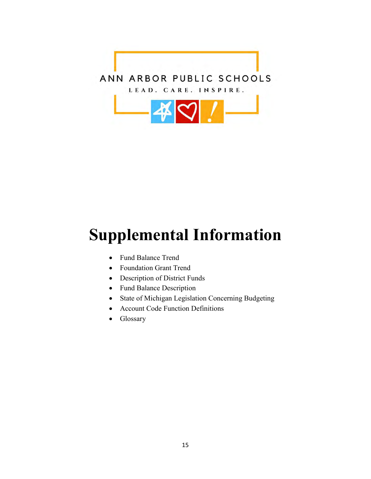

## **Supplemental Information**

- Fund Balance Trend
- Foundation Grant Trend
- Description of District Funds
- Fund Balance Description
- State of Michigan Legislation Concerning Budgeting
- Account Code Function Definitions
- Glossary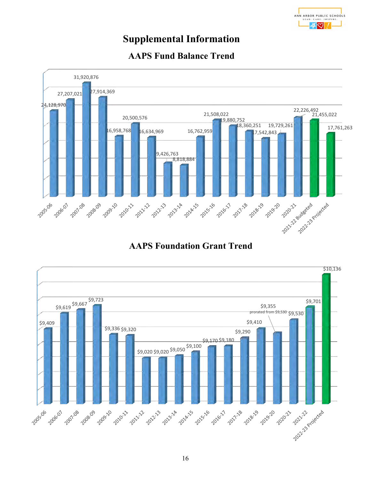### **Supplemental Information**



### **AAPS Fund Balance Trend**

### **AAPS Foundation Grant Trend**

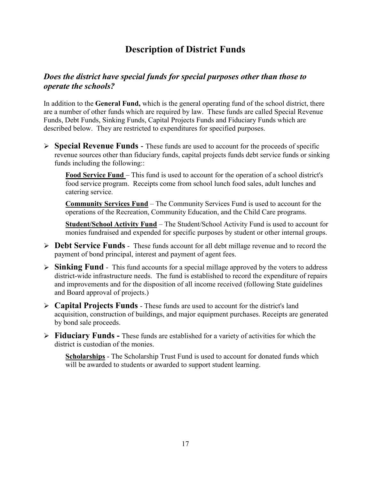### **Description of District Funds**

#### *Does the district have special funds for special purposes other than those to operate the schools?*

In addition to the **General Fund,** which is the general operating fund of the school district, there are a number of other funds which are required by law. These funds are called Special Revenue Funds, Debt Funds, Sinking Funds, Capital Projects Funds and Fiduciary Funds which are described below. They are restricted to expenditures for specified purposes.

 **Special Revenue Funds** - These funds are used to account for the proceeds of specific revenue sources other than fiduciary funds, capital projects funds debt service funds or sinking funds including the following::

**Food Service Fund** – This fund is used to account for the operation of a school district's food service program. Receipts come from school lunch food sales, adult lunches and catering service.

**Community Services Fund** – The Community Services Fund is used to account for the operations of the Recreation, Community Education, and the Child Care programs.

**Student/School Activity Fund** – The Student/School Activity Fund is used to account for monies fundraised and expended for specific purposes by student or other internal groups.

- **Debt Service Funds** These funds account for all debt millage revenue and to record the payment of bond principal, interest and payment of agent fees.
- **Sinking Fund** This fund accounts for a special millage approved by the voters to address district-wide infrastructure needs. The fund is established to record the expenditure of repairs and improvements and for the disposition of all income received (following State guidelines and Board approval of projects.)
- **Capital Projects Funds** These funds are used to account for the district's land acquisition, construction of buildings, and major equipment purchases. Receipts are generated by bond sale proceeds.
- **Fiduciary Funds** These funds are established for a variety of activities for which the district is custodian of the monies.

**Scholarships** - The Scholarship Trust Fund is used to account for donated funds which will be awarded to students or awarded to support student learning.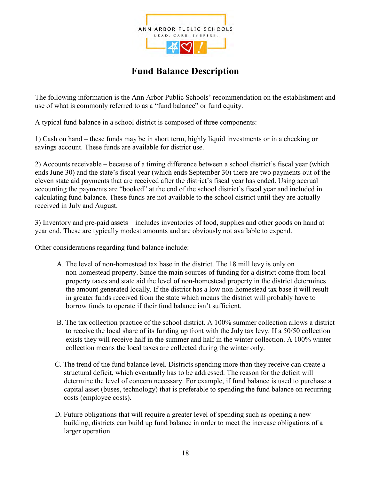

### **Fund Balance Description**

The following information is the Ann Arbor Public Schools' recommendation on the establishment and use of what is commonly referred to as a "fund balance" or fund equity.

A typical fund balance in a school district is composed of three components:

1) Cash on hand – these funds may be in short term, highly liquid investments or in a checking or savings account. These funds are available for district use.

2) Accounts receivable – because of a timing difference between a school district's fiscal year (which ends June 30) and the state's fiscal year (which ends September 30) there are two payments out of the eleven state aid payments that are received after the district's fiscal year has ended. Using accrual accounting the payments are "booked" at the end of the school district's fiscal year and included in calculating fund balance. These funds are not available to the school district until they are actually received in July and August.

3) Inventory and pre-paid assets – includes inventories of food, supplies and other goods on hand at year end. These are typically modest amounts and are obviously not available to expend.

Other considerations regarding fund balance include:

- A. The level of non-homestead tax base in the district. The 18 mill levy is only on non-homestead property. Since the main sources of funding for a district come from local property taxes and state aid the level of non-homestead property in the district determines the amount generated locally. If the district has a low non-homestead tax base it will result in greater funds received from the state which means the district will probably have to borrow funds to operate if their fund balance isn't sufficient.
- B. The tax collection practice of the school district. A 100% summer collection allows a district to receive the local share of its funding up front with the July tax levy. If a 50/50 collection exists they will receive half in the summer and half in the winter collection. A 100% winter collection means the local taxes are collected during the winter only.
- C. The trend of the fund balance level. Districts spending more than they receive can create a structural deficit, which eventually has to be addressed. The reason for the deficit will determine the level of concern necessary. For example, if fund balance is used to purchase a capital asset (buses, technology) that is preferable to spending the fund balance on recurring costs (employee costs).
- D. Future obligations that will require a greater level of spending such as opening a new building, districts can build up fund balance in order to meet the increase obligations of a larger operation.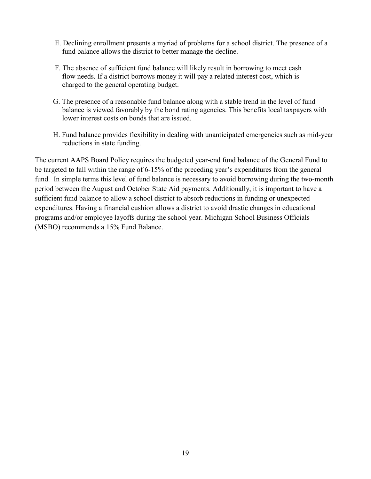- E. Declining enrollment presents a myriad of problems for a school district. The presence of a fund balance allows the district to better manage the decline.
- F. The absence of sufficient fund balance will likely result in borrowing to meet cash flow needs. If a district borrows money it will pay a related interest cost, which is charged to the general operating budget.
- G. The presence of a reasonable fund balance along with a stable trend in the level of fund balance is viewed favorably by the bond rating agencies. This benefits local taxpayers with lower interest costs on bonds that are issued.
- H. Fund balance provides flexibility in dealing with unanticipated emergencies such as mid-year reductions in state funding.

The current AAPS Board Policy requires the budgeted year-end fund balance of the General Fund to be targeted to fall within the range of 6-15% of the preceding year's expenditures from the general fund. In simple terms this level of fund balance is necessary to avoid borrowing during the two-month period between the August and October State Aid payments. Additionally, it is important to have a sufficient fund balance to allow a school district to absorb reductions in funding or unexpected expenditures. Having a financial cushion allows a district to avoid drastic changes in educational programs and/or employee layoffs during the school year. Michigan School Business Officials (MSBO) recommends a 15% Fund Balance.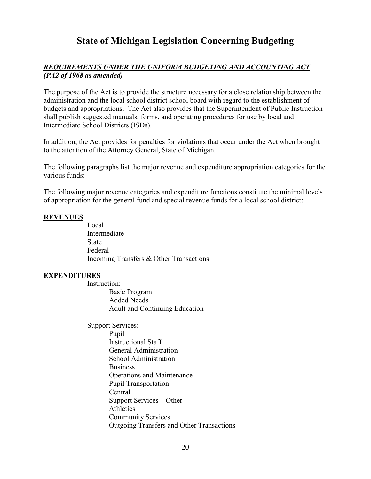### **State of Michigan Legislation Concerning Budgeting**

#### *REQUIREMENTS UNDER THE UNIFORM BUDGETING AND ACCOUNTING ACT (PA2 of 1968 as amended)*

The purpose of the Act is to provide the structure necessary for a close relationship between the administration and the local school district school board with regard to the establishment of budgets and appropriations. The Act also provides that the Superintendent of Public Instruction shall publish suggested manuals, forms, and operating procedures for use by local and Intermediate School Districts (ISDs).

In addition, the Act provides for penalties for violations that occur under the Act when brought to the attention of the Attorney General, State of Michigan.

The following paragraphs list the major revenue and expenditure appropriation categories for the various funds:

The following major revenue categories and expenditure functions constitute the minimal levels of appropriation for the general fund and special revenue funds for a local school district:

#### **REVENUES**

Local Intermediate State Federal Incoming Transfers & Other Transactions

#### **EXPENDITURES**

Instruction:

Basic Program Added Needs Adult and Continuing Education

Support Services: Pupil Instructional Staff General Administration School Administration Business Operations and Maintenance Pupil Transportation Central Support Services – Other Athletics Community Services Outgoing Transfers and Other Transactions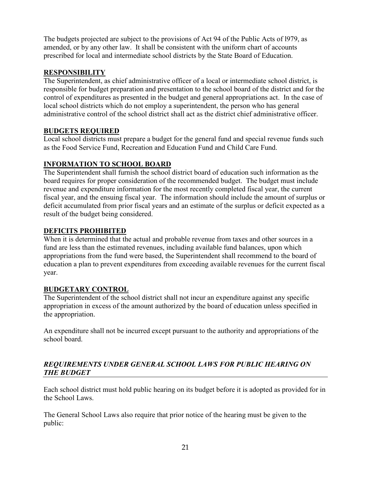The budgets projected are subject to the provisions of Act 94 of the Public Acts of l979, as amended, or by any other law. It shall be consistent with the uniform chart of accounts prescribed for local and intermediate school districts by the State Board of Education.

#### **RESPONSIBILITY**

The Superintendent, as chief administrative officer of a local or intermediate school district, is responsible for budget preparation and presentation to the school board of the district and for the control of expenditures as presented in the budget and general appropriations act. In the case of local school districts which do not employ a superintendent, the person who has general administrative control of the school district shall act as the district chief administrative officer.

#### **BUDGETS REQUIRED**

Local school districts must prepare a budget for the general fund and special revenue funds such as the Food Service Fund, Recreation and Education Fund and Child Care Fund.

#### **INFORMATION TO SCHOOL BOARD**

The Superintendent shall furnish the school district board of education such information as the board requires for proper consideration of the recommended budget. The budget must include revenue and expenditure information for the most recently completed fiscal year, the current fiscal year, and the ensuing fiscal year. The information should include the amount of surplus or deficit accumulated from prior fiscal years and an estimate of the surplus or deficit expected as a result of the budget being considered.

#### **DEFICITS PROHIBITED**

When it is determined that the actual and probable revenue from taxes and other sources in a fund are less than the estimated revenues, including available fund balances, upon which appropriations from the fund were based, the Superintendent shall recommend to the board of education a plan to prevent expenditures from exceeding available revenues for the current fiscal year.

#### **BUDGETARY CONTROL**

The Superintendent of the school district shall not incur an expenditure against any specific appropriation in excess of the amount authorized by the board of education unless specified in the appropriation.

An expenditure shall not be incurred except pursuant to the authority and appropriations of the school board.

#### *REQUIREMENTS UNDER GENERAL SCHOOL LAWS FOR PUBLIC HEARING ON THE BUDGET*

Each school district must hold public hearing on its budget before it is adopted as provided for in the School Laws.

The General School Laws also require that prior notice of the hearing must be given to the public: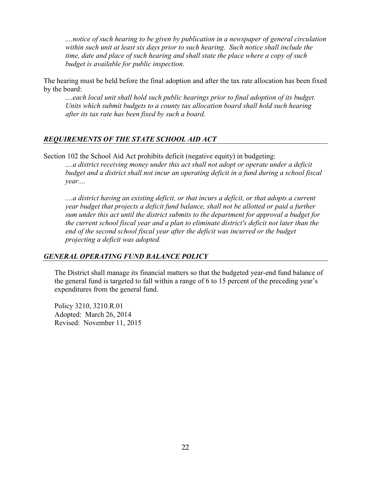*....notice of such hearing to be given by publication in a newspaper of general circulation within such unit at least six days prior to such hearing. Such notice shall include the time, date and place of such hearing and shall state the place where a copy of such budget is available for public inspection.* 

The hearing must be held before the final adoption and after the tax rate allocation has been fixed by the board:

*....each local unit shall hold such public hearings prior to final adoption of its budget. Units which submit budgets to a county tax allocation board shall hold such hearing after its tax rate has been fixed by such a board.* 

#### *REQUIREMENTS OF THE STATE SCHOOL AID ACT*

Section 102 the School Aid Act prohibits deficit (negative equity) in budgeting:

*....a district receiving money under this act shall not adopt or operate under a deficit budget and a district shall not incur an operating deficit in a fund during a school fiscal year....* 

*....a district having an existing deficit, or that incurs a deficit, or that adopts a current year budget that projects a deficit fund balance, shall not be allotted or paid a further sum under this act until the district submits to the department for approval a budget for the current school fiscal year and a plan to eliminate district's deficit not later than the*  end of the second school fiscal year after the deficit was incurred or the budget *projecting a deficit was adopted.* 

#### *GENERAL OPERATING FUND BALANCE POLICY*

The District shall manage its financial matters so that the budgeted year-end fund balance of the general fund is targeted to fall within a range of 6 to 15 percent of the preceding year's expenditures from the general fund.

Policy 3210, 3210.R.01 Adopted: March 26, 2014 Revised: November 11, 2015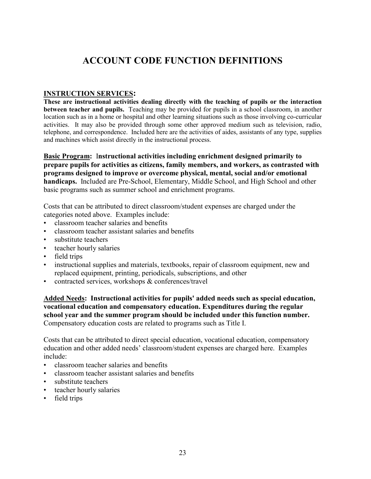#### **INSTRUCTION SERVICES:**

**These are instructional activities dealing directly with the teaching of pupils or the interaction between teacher and pupils.** Teaching may be provided for pupils in a school classroom, in another location such as in a home or hospital and other learning situations such as those involving co-curricular activities. It may also be provided through some other approved medium such as television, radio, telephone, and correspondence. Included here are the activities of aides, assistants of any type, supplies and machines which assist directly in the instructional process.

**Basic Program:** I**nstructional activities including enrichment designed primarily to prepare pupils for activities as citizens, family members, and workers, as contrasted with programs designed to improve or overcome physical, mental, social and/or emotional handicaps.** Included are Pre-School, Elementary, Middle School, and High School and other basic programs such as summer school and enrichment programs.

Costs that can be attributed to direct classroom/student expenses are charged under the categories noted above. Examples include:

- classroom teacher salaries and benefits
- classroom teacher assistant salaries and benefits
- substitute teachers
- teacher hourly salaries
- field trips
- instructional supplies and materials, textbooks, repair of classroom equipment, new and replaced equipment, printing, periodicals, subscriptions, and other
- contracted services, workshops & conferences/travel

**Added Needs: Instructional activities for pupils' added needs such as special education, vocational education and compensatory education. Expenditures during the regular school year and the summer program should be included under this function number.**  Compensatory education costs are related to programs such as Title I.

Costs that can be attributed to direct special education, vocational education, compensatory education and other added needs' classroom/student expenses are charged here. Examples include:

- classroom teacher salaries and benefits
- classroom teacher assistant salaries and benefits
- substitute teachers
- teacher hourly salaries
- field trips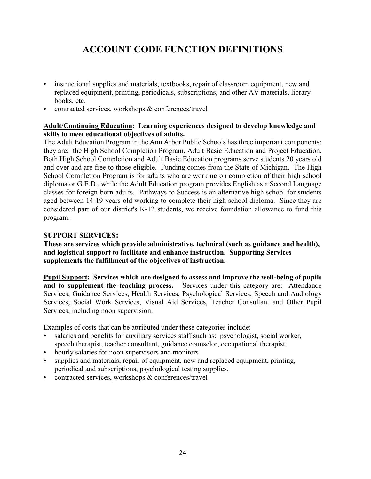- instructional supplies and materials, textbooks, repair of classroom equipment, new and replaced equipment, printing, periodicals, subscriptions, and other AV materials, library books, etc.
- contracted services, workshops & conferences/travel

#### **Adult/Continuing Education:****Learning experiences designed to develop knowledge and skills to meet educational objectives of adults.**

The Adult Education Program in the Ann Arbor Public Schools has three important components; they are: the High School Completion Program, Adult Basic Education and Project Education. Both High School Completion and Adult Basic Education programs serve students 20 years old and over and are free to those eligible. Funding comes from the State of Michigan. The High School Completion Program is for adults who are working on completion of their high school diploma or G.E.D., while the Adult Education program provides English as a Second Language classes for foreign-born adults. Pathways to Success is an alternative high school for students aged between 14-19 years old working to complete their high school diploma. Since they are considered part of our district's K-12 students, we receive foundation allowance to fund this program.

#### **SUPPORT SERVICES:**

**These are services which provide administrative, technical (such as guidance and health), and logistical support to facilitate and enhance instruction. Supporting Services supplements the fulfillment of the objectives of instruction.**

**Pupil Support:** Services which are designed to assess and improve the well-being of pupils and to supplement the teaching process. Services under this category are: Attendance **Services under this category are: Attendance** Services, Guidance Services, Health Services, Psychological Services, Speech and Audiology Services, Social Work Services, Visual Aid Services, Teacher Consultant and Other Pupil Services, including noon supervision.

Examples of costs that can be attributed under these categories include:

- salaries and benefits for auxiliary services staff such as: psychologist, social worker, speech therapist, teacher consultant, guidance counselor, occupational therapist
- hourly salaries for noon supervisors and monitors
- supplies and materials, repair of equipment, new and replaced equipment, printing, periodical and subscriptions, psychological testing supplies.
- contracted services, workshops & conferences/travel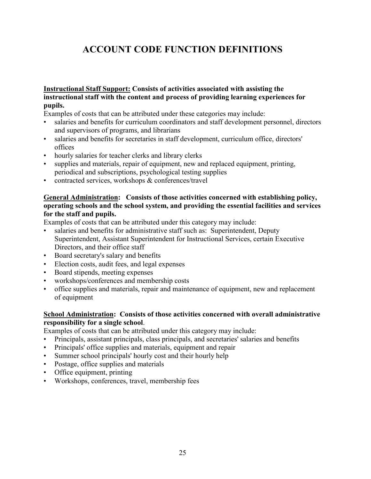#### **Instructional Staff Support: Consists of activities associated with assisting the instructional staff with the content and process of providing learning experiences for pupils.**

Examples of costs that can be attributed under these categories may include:

- salaries and benefits for curriculum coordinators and staff development personnel, directors and supervisors of programs, and librarians
- salaries and benefits for secretaries in staff development, curriculum office, directors' offices
- hourly salaries for teacher clerks and library clerks
- supplies and materials, repair of equipment, new and replaced equipment, printing, periodical and subscriptions, psychological testing supplies
- contracted services, workshops & conferences/travel

#### **General Administration: Consists of those activities concerned with establishing policy, operating schools and the school system, and providing the essential facilities and services for the staff and pupils.**

Examples of costs that can be attributed under this category may include:

- salaries and benefits for administrative staff such as: Superintendent, Deputy Superintendent, Assistant Superintendent for Instructional Services, certain Executive Directors, and their office staff
- Board secretary's salary and benefits
- Election costs, audit fees, and legal expenses
- Board stipends, meeting expenses
- workshops/conferences and membership costs
- office supplies and materials, repair and maintenance of equipment, new and replacement of equipment

#### **School Administration: Consists of those activities concerned with overall administrative responsibility for a single school**.

Examples of costs that can be attributed under this category may include:

- Principals, assistant principals, class principals, and secretaries' salaries and benefits
- Principals' office supplies and materials, equipment and repair
- Summer school principals' hourly cost and their hourly help
- Postage, office supplies and materials
- Office equipment, printing
- Workshops, conferences, travel, membership fees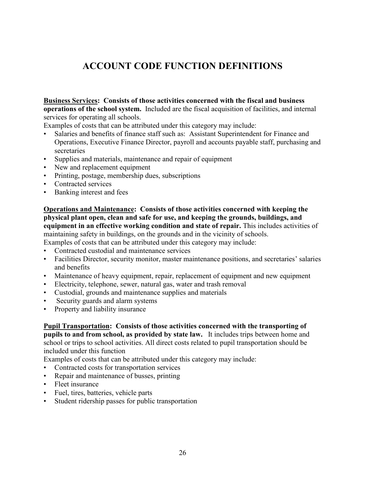**Business Services: Consists of those activities concerned with the fiscal and business operations of the school system.** Included are the fiscal acquisition of facilities, and internal services for operating all schools.

Examples of costs that can be attributed under this category may include:

- Salaries and benefits of finance staff such as: Assistant Superintendent for Finance and Operations, Executive Finance Director, payroll and accounts payable staff, purchasing and secretaries
- Supplies and materials, maintenance and repair of equipment
- New and replacement equipment
- Printing, postage, membership dues, subscriptions
- Contracted services
- Banking interest and fees

#### **Operations and Maintenance: Consists of those activities concerned with keeping the physical plant open, clean and safe for use, and keeping the grounds, buildings, and equipment in an effective working condition and state of repair.** This includes activities of maintaining safety in buildings, on the grounds and in the vicinity of schools.

Examples of costs that can be attributed under this category may include:

- Contracted custodial and maintenance services
- Facilities Director, security monitor, master maintenance positions, and secretaries' salaries and benefits
- Maintenance of heavy equipment, repair, replacement of equipment and new equipment
- Electricity, telephone, sewer, natural gas, water and trash removal
- Custodial, grounds and maintenance supplies and materials
- Security guards and alarm systems
- Property and liability insurance

**Pupil Transportation: Consists of those activities concerned with the transporting of pupils to and from school, as provided by state law.** It includes trips between home and school or trips to school activities. All direct costs related to pupil transportation should be included under this function

Examples of costs that can be attributed under this category may include:

- Contracted costs for transportation services
- Repair and maintenance of busses, printing
- Fleet insurance
- Fuel, tires, batteries, vehicle parts
- Student ridership passes for public transportation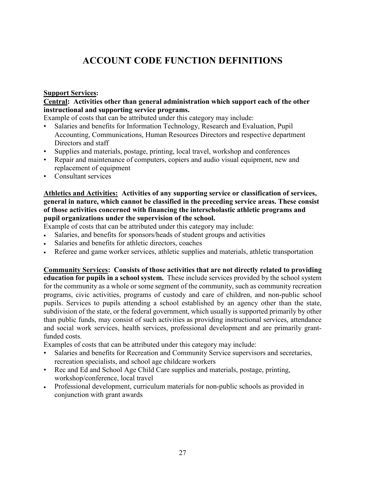#### **Support Services:**

#### **Central: Activities other than general administration which support each of the other instructional and supporting service programs.**

Example of costs that can be attributed under this category may include:

- Salaries and benefits for Information Technology, Research and Evaluation, Pupil Accounting, Communications, Human Resources Directors and respective department Directors and staff
- Supplies and materials, postage, printing, local travel, workshop and conferences
- Repair and maintenance of computers, copiers and audio visual equipment, new and replacement of equipment
- Consultant services

#### **Athletics and Activities: Activities of any supporting service or classification of services, general in nature, which cannot be classified in the preceding service areas. These consist of those activities concerned with financing the interscholastic athletic programs and pupil organizations under the supervision of the school.**

Example of costs that can be attributed under this category may include:

- Salaries, and benefits for sponsors/heads of student groups and activities
- Salaries and benefits for athletic directors, coaches
- Referee and game worker services, athletic supplies and materials, athletic transportation

**Community Services: Consists of those activities that are not directly related to providing education for pupils in a school system.** These include services provided by the school system for the community as a whole or some segment of the community, such as community recreation programs, civic activities, programs of custody and care of children, and non-public school pupils. Services to pupils attending a school established by an agency other than the state, subdivision of the state, or the federal government, which usually is supported primarily by other than public funds, may consist of such activities as providing instructional services, attendance and social work services, health services, professional development and are primarily grantfunded costs.

Examples of costs that can be attributed under this category may include:

- Salaries and benefits for Recreation and Community Service supervisors and secretaries, recreation specialists, and school age childcare workers
- Rec and Ed and School Age Child Care supplies and materials, postage, printing, workshop/conference, local travel
- Professional development, curriculum materials for non-public schools as provided in conjunction with grant awards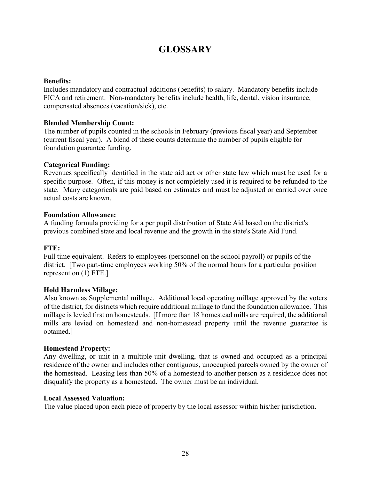### **GLOSSARY**

#### **Benefits:**

Includes mandatory and contractual additions (benefits) to salary. Mandatory benefits include FICA and retirement. Non-mandatory benefits include health, life, dental, vision insurance, compensated absences (vacation/sick), etc.

#### **Blended Membership Count:**

The number of pupils counted in the schools in February (previous fiscal year) and September (current fiscal year). A blend of these counts determine the number of pupils eligible for foundation guarantee funding.

#### **Categorical Funding:**

Revenues specifically identified in the state aid act or other state law which must be used for a specific purpose. Often, if this money is not completely used it is required to be refunded to the state. Many categoricals are paid based on estimates and must be adjusted or carried over once actual costs are known.

#### **Foundation Allowance:**

A funding formula providing for a per pupil distribution of State Aid based on the district's previous combined state and local revenue and the growth in the state's State Aid Fund.

#### **FTE:**

Full time equivalent. Refers to employees (personnel on the school payroll) or pupils of the district. [Two part-time employees working 50% of the normal hours for a particular position represent on (1) FTE.]

#### **Hold Harmless Millage:**

Also known as Supplemental millage. Additional local operating millage approved by the voters of the district, for districts which require additional millage to fund the foundation allowance. This millage is levied first on homesteads. [If more than 18 homestead mills are required, the additional mills are levied on homestead and non-homestead property until the revenue guarantee is obtained.]

#### **Homestead Property:**

Any dwelling, or unit in a multiple-unit dwelling, that is owned and occupied as a principal residence of the owner and includes other contiguous, unoccupied parcels owned by the owner of the homestead. Leasing less than 50% of a homestead to another person as a residence does not disqualify the property as a homestead. The owner must be an individual.

#### **Local Assessed Valuation:**

The value placed upon each piece of property by the local assessor within his/her jurisdiction.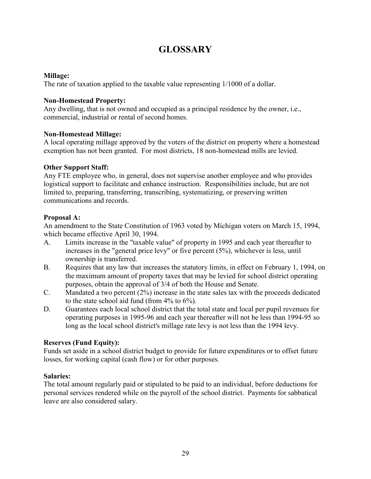### **GLOSSARY**

#### **Millage:**

The rate of taxation applied to the taxable value representing 1/1000 of a dollar.

#### **Non-Homestead Property:**

Any dwelling, that is not owned and occupied as a principal residence by the owner, i.e., commercial, industrial or rental of second homes.

#### **Non-Homestead Millage:**

A local operating millage approved by the voters of the district on property where a homestead exemption has not been granted. For most districts, 18 non-homestead mills are levied.

#### **Other Support Staff:**

Any FTE employee who, in general, does not supervise another employee and who provides logistical support to facilitate and enhance instruction. Responsibilities include, but are not limited to, preparing, transferring, transcribing, systematizing, or preserving written communications and records.

#### **Proposal A:**

An amendment to the State Constitution of 1963 voted by Michigan voters on March 15, 1994, which became effective April 30, 1994.

- A. Limits increase in the "taxable value" of property in 1995 and each year thereafter to increases in the "general price levy" or five percent (5%), whichever is less, until ownership is transferred.
- B. Requires that any law that increases the statutory limits, in effect on February 1, 1994, on the maximum amount of property taxes that may be levied for school district operating purposes, obtain the approval of 3/4 of both the House and Senate.
- C. Mandated a two percent (2%) increase in the state sales tax with the proceeds dedicated to the state school aid fund (from 4% to 6%).
- D. Guarantees each local school district that the total state and local per pupil revenues for operating purposes in 1995-96 and each year thereafter will not be less than 1994-95 so long as the local school district's millage rate levy is not less than the 1994 levy.

#### **Reserves (Fund Equity):**

Funds set aside in a school district budget to provide for future expenditures or to offset future losses, for working capital (cash flow) or for other purposes.

#### **Salaries:**

The total amount regularly paid or stipulated to be paid to an individual, before deductions for personal services rendered while on the payroll of the school district. Payments for sabbatical leave are also considered salary.